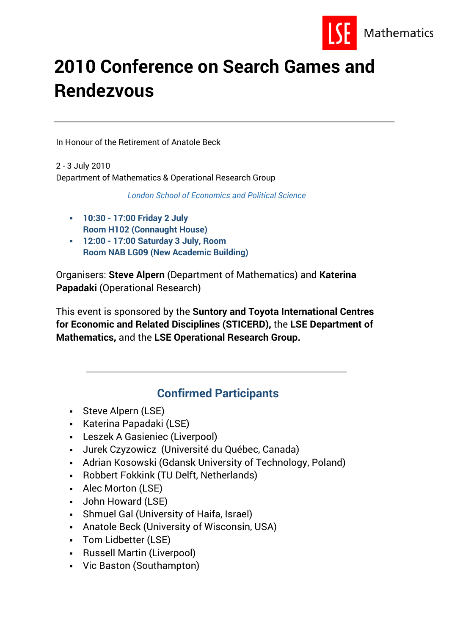

# **2010 Conference on Search Games and Rendezvous**

In Honour of the Retirement of Anatole Beck

2 - 3 July 2010 Department of Mathematics & Operational Research Group

*London School of Economics and Political Science*

- **10:30 - 17:00 Friday 2 July Room H102 (Connaught House)**
- **12:00 - 17:00 Saturday 3 July, Room Room NAB LG09 (New Academic Building)**

Organisers: **Steve Alpern** (Department of Mathematics) and **Katerina Papadaki** (Operational Research)

This event is sponsored by the **Suntory and Toyota International Centres for Economic and Related Disciplines (STICERD),** the **LSE Department of Mathematics,** and the **LSE Operational Research Group.**

### **Confirmed Participants**

- Steve Alpern (LSE)
- Katerina Papadaki (LSE)
- Leszek A Gasieniec (Liverpool)
- Jurek Czyzowicz (Université du Québec, Canada)
- Adrian Kosowski (Gdansk University of Technology, Poland)
- Robbert Fokkink (TU Delft, Netherlands)
- Alec Morton (LSE)
- John Howard (LSE)
- Shmuel Gal (University of Haifa, Israel)
- Anatole Beck (University of Wisconsin, USA)
- Tom Lidbetter (LSE)
- Russell Martin (Liverpool)
- Vic Baston (Southampton)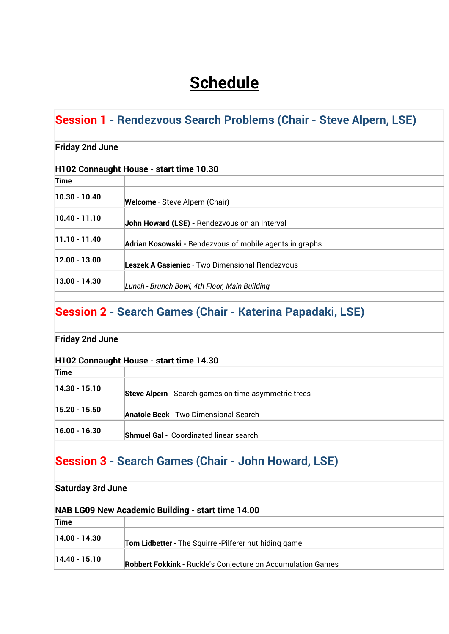## **Schedule**

## **Session 1 - Rendezvous Search Problems (Chair - Steve Alpern, LSE)**

#### **Friday 2nd June**

### **H102 Connaught House - start time 10.30**

| Time              |                                                         |
|-------------------|---------------------------------------------------------|
| $10.30 - 10.40$   | <b>Welcome</b> - Steve Alpern (Chair)                   |
| $10.40 - 11.10$   | John Howard (LSE) - Rendezvous on an Interval           |
| $ 11.10 - 11.40 $ | Adrian Kosowski - Rendezvous of mobile agents in graphs |
| $12.00 - 13.00$   | <b>Leszek A Gasieniec</b> - Two Dimensional Rendezvous  |
| $13.00 - 14.30$   | Lunch - Brunch Bowl, 4th Floor, Main Building           |

### **Session 2 - Search Games (Chair - Katerina Papadaki, LSE)**

#### **Friday 2nd June**

#### **H102 Connaught House - start time 14.30**

| Time            |                                                      |
|-----------------|------------------------------------------------------|
| $14.30 - 15.10$ | Steve Alpern - Search games on time-asymmetric trees |
| $15.20 - 15.50$ | <b>Anatole Beck</b> - Two Dimensional Search         |
| $16.00 - 16.30$ | <b>Shmuel Gal</b> - Coordinated linear search        |

## **Session 3 - Search Games (Chair - John Howard, LSE)**

#### **Saturday 3rd June**

#### **NAB LG09 New Academic Building - start time 14.00**

| Time          |                                                              |
|---------------|--------------------------------------------------------------|
| 14.00 - 14.30 | <b>Tom Lidbetter</b> - The Squirrel-Pilferer nut hiding game |
| 14.40 - 15.10 | Robbert Fokkink - Ruckle's Conjecture on Accumulation Games  |